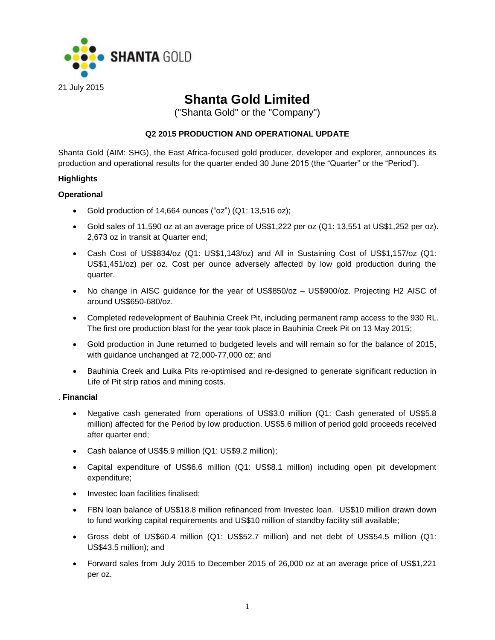

# **Shanta Gold Limited**

("Shanta Gold" or the "Company")

# **Q2 2015 PRODUCTION AND OPERATIONAL UPDATE**

Shanta Gold (AIM: SHG), the East Africa-focused gold producer, developer and explorer, announces its production and operational results for the quarter ended 30 June 2015 (the "Quarter" or the "Period").

## **Highlights**

## **Operational**

- Gold production of 14,664 ounces ("oz") (Q1: 13,516 oz);
- Gold sales of 11,590 oz at an average price of US\$1,222 per oz (Q1: 13,551 at US\$1,252 per oz). 2,673 oz in transit at Quarter end;
- Cash Cost of US\$834/oz (Q1: US\$1,143/oz) and All in Sustaining Cost of US\$1,157/oz (Q1: US\$1,451/oz) per oz. Cost per ounce adversely affected by low gold production during the quarter.
- No change in AISC guidance for the year of US\$850/oz US\$900/oz. Projecting H2 AISC of around US\$650-680/oz.
- Completed redevelopment of Bauhinia Creek Pit, including permanent ramp access to the 930 RL. The first ore production blast for the year took place in Bauhinia Creek Pit on 13 May 2015;
- Gold production in June returned to budgeted levels and will remain so for the balance of 2015, with guidance unchanged at 72,000-77,000 oz; and
- Bauhinia Creek and Luika Pits re-optimised and re-designed to generate significant reduction in Life of Pit strip ratios and mining costs.

### . **Financial**

- Negative cash generated from operations of US\$3.0 million (Q1: Cash generated of US\$5.8 million) affected for the Period by low production. US\$5.6 million of period gold proceeds received after quarter end;
- Cash balance of US\$5.9 million (Q1: US\$9.2 million);
- Capital expenditure of US\$6.6 million (Q1: US\$8.1 million) including open pit development expenditure;
- Investec loan facilities finalised:
- FBN loan balance of US\$18.8 million refinanced from Investec loan. US\$10 million drawn down to fund working capital requirements and US\$10 million of standby facility still available;
- Gross debt of US\$60.4 million (Q1: US\$52.7 million) and net debt of US\$54.5 million (Q1: US\$43.5 million); and
- Forward sales from July 2015 to December 2015 of 26,000 oz at an average price of US\$1,221 per oz.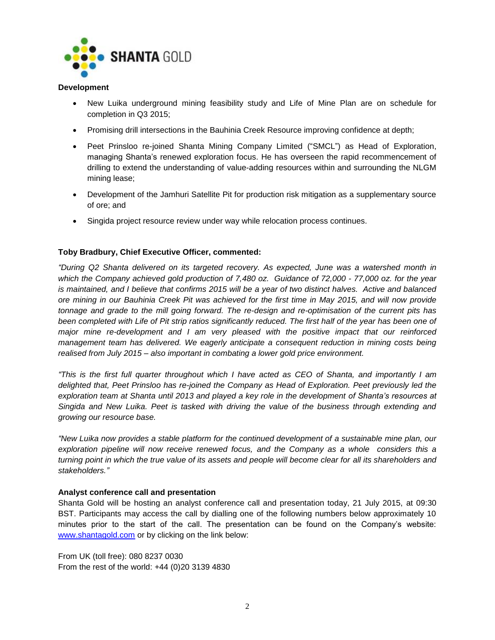

### **Development**

- New Luika underground mining feasibility study and Life of Mine Plan are on schedule for completion in Q3 2015;
- Promising drill intersections in the Bauhinia Creek Resource improving confidence at depth;
- Peet Prinsloo re-joined Shanta Mining Company Limited ("SMCL") as Head of Exploration, managing Shanta's renewed exploration focus. He has overseen the rapid recommencement of drilling to extend the understanding of value-adding resources within and surrounding the NLGM mining lease;
- Development of the Jamhuri Satellite Pit for production risk mitigation as a supplementary source of ore; and
- Singida project resource review under way while relocation process continues.

# **Toby Bradbury, Chief Executive Officer, commented:**

*"During Q2 Shanta delivered on its targeted recovery. As expected, June was a watershed month in which the Company achieved gold production of 7,480 oz. Guidance of 72,000 - 77,000 oz. for the year is maintained, and I believe that confirms 2015 will be a year of two distinct halves. Active and balanced ore mining in our Bauhinia Creek Pit was achieved for the first time in May 2015, and will now provide tonnage and grade to the mill going forward. The re-design and re-optimisation of the current pits has been completed with Life of Pit strip ratios significantly reduced. The first half of the year has been one of major mine re-development and I am very pleased with the positive impact that our reinforced*  management team has delivered. We eagerly anticipate a consequent reduction in mining costs being *realised from July 2015 – also important in combating a lower gold price environment.*

*"This is the first full quarter throughout which I have acted as CEO of Shanta, and importantly I am delighted that, Peet Prinsloo has re-joined the Company as Head of Exploration. Peet previously led the exploration team at Shanta until 2013 and played a key role in the development of Shanta's resources at Singida and New Luika. Peet is tasked with driving the value of the business through extending and growing our resource base.* 

*"New Luika now provides a stable platform for the continued development of a sustainable mine plan, our exploration pipeline will now receive renewed focus, and the Company as a whole considers this a turning point in which the true value of its assets and people will become clear for all its shareholders and stakeholders."*

# **Analyst conference call and presentation**

Shanta Gold will be hosting an analyst conference call and presentation today, 21 July 2015, at 09:30 BST. Participants may access the call by dialling one of the following numbers below approximately 10 minutes prior to the start of the call. The presentation can be found on the Company's website: [www.shantagold.com](http://www.shantagold.com/) or by clicking on the link below:

From UK (toll free): 080 8237 0030 From the rest of the world: +44 (0)20 3139 4830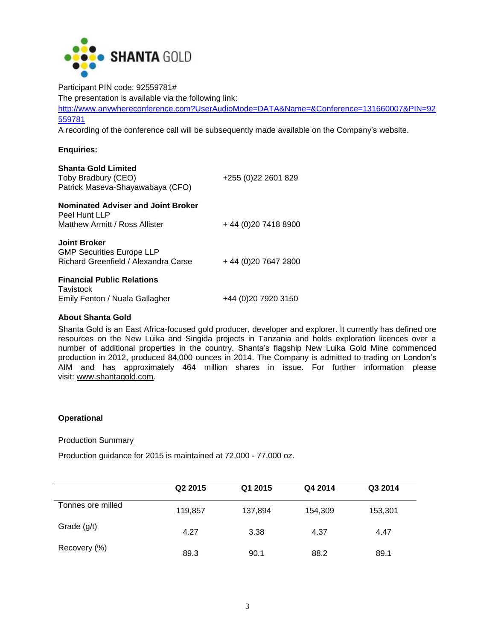

Participant PIN code: 92559781# The presentation is available via the following link: [http://www.anywhereconference.com?UserAudioMode=DATA&Name=&Conference=131660007&PIN=92](http://www.anywhereconference.com/?UserAudioMode=DATA&Name=&Conference=131660007&PIN=92559781) [559781](http://www.anywhereconference.com/?UserAudioMode=DATA&Name=&Conference=131660007&PIN=92559781)

A recording of the conference call will be subsequently made available on the Company's website.

# **Enquiries:**

| <b>Shanta Gold Limited</b><br>Toby Bradbury (CEO)<br>Patrick Maseva-Shayawabaya (CFO)           | +255 (0) 22 2601 829 |
|-------------------------------------------------------------------------------------------------|----------------------|
| <b>Nominated Adviser and Joint Broker</b><br>Peel Hunt LLP<br>Matthew Armitt / Ross Allister    | +44 (0) 20 7418 8900 |
| <b>Joint Broker</b><br><b>GMP Securities Europe LLP</b><br>Richard Greenfield / Alexandra Carse | +44 (0) 20 7647 2800 |
| <b>Financial Public Relations</b><br>Tavistock<br>Emily Fenton / Nuala Gallagher                | +44 (0)20 7920 3150  |

## **About Shanta Gold**

Shanta Gold is an East Africa-focused gold producer, developer and explorer. It currently has defined ore resources on the New Luika and Singida projects in Tanzania and holds exploration licences over a number of additional properties in the country. Shanta's flagship New Luika Gold Mine commenced production in 2012, produced 84,000 ounces in 2014. The Company is admitted to trading on London's AIM and has approximately 464 million shares in issue. For further information please visit: [www.shantagold.com.](http://www.shantagold.com/)

# **Operational**

## **Production Summary**

Production guidance for 2015 is maintained at 72,000 - 77,000 oz.

|                   | Q2 2015 | Q1 2015 | Q4 2014 | Q3 2014 |  |
|-------------------|---------|---------|---------|---------|--|
| Tonnes ore milled | 119,857 | 137,894 | 154,309 | 153,301 |  |
| Grade $(g/t)$     | 4.27    | 3.38    | 4.37    | 4.47    |  |
| Recovery (%)      | 89.3    | 90.1    | 88.2    | 89.1    |  |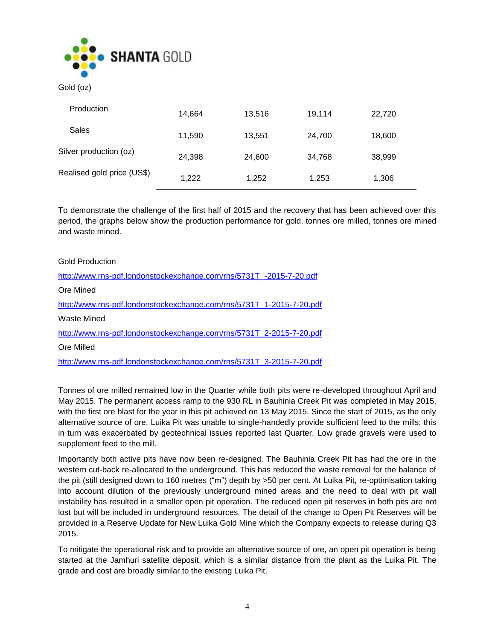

Gold (oz)

| Production                 | 14,664 | 13,516 | 19,114 | 22,720 |
|----------------------------|--------|--------|--------|--------|
| Sales                      | 11,590 | 13.551 | 24,700 | 18,600 |
| Silver production (oz)     | 24,398 | 24,600 | 34.768 | 38,999 |
| Realised gold price (US\$) | 1,222  | 1,252  | 1,253  | 1,306  |

To demonstrate the challenge of the first half of 2015 and the recovery that has been achieved over this period, the graphs below show the production performance for gold, tonnes ore milled, tonnes ore mined and waste mined.

# Gold Production

[http://www.rns-pdf.londonstockexchange.com/rns/5731T\\_-2015-7-20.pdf](http://www.rns-pdf.londonstockexchange.com/rns/5731T_-2015-7-20.pdf) Ore Mined [http://www.rns-pdf.londonstockexchange.com/rns/5731T\\_1-2015-7-20.pdf](http://www.rns-pdf.londonstockexchange.com/rns/5731T_1-2015-7-20.pdf) Waste Mined [http://www.rns-pdf.londonstockexchange.com/rns/5731T\\_2-2015-7-20.pdf](http://www.rns-pdf.londonstockexchange.com/rns/5731T_2-2015-7-20.pdf) Ore Milled [http://www.rns-pdf.londonstockexchange.com/rns/5731T\\_3-2015-7-20.pdf](http://www.rns-pdf.londonstockexchange.com/rns/5731T_3-2015-7-20.pdf)

Tonnes of ore milled remained low in the Quarter while both pits were re-developed throughout April and May 2015. The permanent access ramp to the 930 RL in Bauhinia Creek Pit was completed in May 2015, with the first ore blast for the year in this pit achieved on 13 May 2015. Since the start of 2015, as the only alternative source of ore, Luika Pit was unable to single-handedly provide sufficient feed to the mills; this in turn was exacerbated by geotechnical issues reported last Quarter. Low grade gravels were used to supplement feed to the mill.

Importantly both active pits have now been re-designed. The Bauhinia Creek Pit has had the ore in the western cut-back re-allocated to the underground. This has reduced the waste removal for the balance of the pit (still designed down to 160 metres ("m") depth by >50 per cent. At Luika Pit, re-optimisation taking into account dilution of the previously underground mined areas and the need to deal with pit wall instability has resulted in a smaller open pit operation. The reduced open pit reserves in both pits are not lost but will be included in underground resources. The detail of the change to Open Pit Reserves will be provided in a Reserve Update for New Luika Gold Mine which the Company expects to release during Q3 2015.

To mitigate the operational risk and to provide an alternative source of ore, an open pit operation is being started at the Jamhuri satellite deposit, which is a similar distance from the plant as the Luika Pit. The grade and cost are broadly similar to the existing Luika Pit.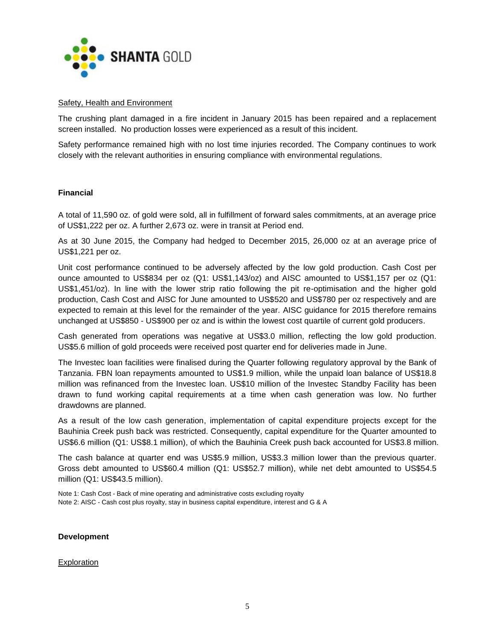

## Safety, Health and Environment

The crushing plant damaged in a fire incident in January 2015 has been repaired and a replacement screen installed. No production losses were experienced as a result of this incident.

Safety performance remained high with no lost time injuries recorded. The Company continues to work closely with the relevant authorities in ensuring compliance with environmental regulations.

## **Financial**

A total of 11,590 oz. of gold were sold, all in fulfillment of forward sales commitments, at an average price of US\$1,222 per oz. A further 2,673 oz. were in transit at Period end.

As at 30 June 2015, the Company had hedged to December 2015, 26,000 oz at an average price of US\$1,221 per oz.

Unit cost performance continued to be adversely affected by the low gold production. Cash Cost per ounce amounted to US\$834 per oz (Q1: US\$1,143/oz) and AISC amounted to US\$1,157 per oz (Q1: US\$1,451/oz). In line with the lower strip ratio following the pit re-optimisation and the higher gold production, Cash Cost and AISC for June amounted to US\$520 and US\$780 per oz respectively and are expected to remain at this level for the remainder of the year. AISC guidance for 2015 therefore remains unchanged at US\$850 - US\$900 per oz and is within the lowest cost quartile of current gold producers.

Cash generated from operations was negative at US\$3.0 million, reflecting the low gold production. US\$5.6 million of gold proceeds were received post quarter end for deliveries made in June.

The Investec loan facilities were finalised during the Quarter following regulatory approval by the Bank of Tanzania. FBN loan repayments amounted to US\$1.9 million, while the unpaid loan balance of US\$18.8 million was refinanced from the Investec loan. US\$10 million of the Investec Standby Facility has been drawn to fund working capital requirements at a time when cash generation was low. No further drawdowns are planned.

As a result of the low cash generation, implementation of capital expenditure projects except for the Bauhinia Creek push back was restricted. Consequently, capital expenditure for the Quarter amounted to US\$6.6 million (Q1: US\$8.1 million), of which the Bauhinia Creek push back accounted for US\$3.8 million.

The cash balance at quarter end was US\$5.9 million, US\$3.3 million lower than the previous quarter. Gross debt amounted to US\$60.4 million (Q1: US\$52.7 million), while net debt amounted to US\$54.5 million (Q1: US\$43.5 million).

Note 1: Cash Cost - Back of mine operating and administrative costs excluding royalty Note 2: AISC - Cash cost plus royalty, stay in business capital expenditure, interest and G & A

### **Development**

### **Exploration**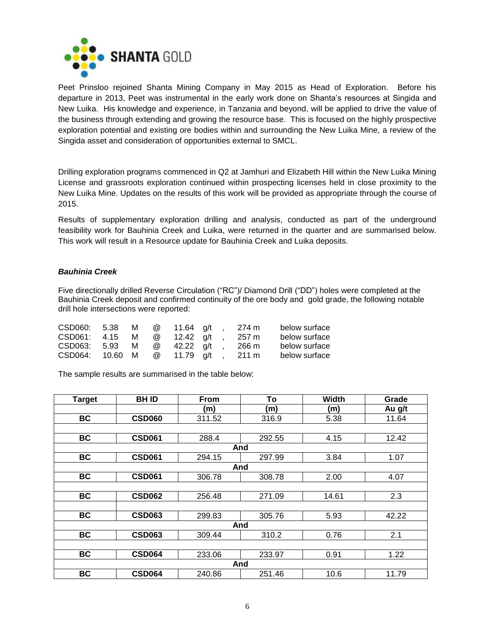

Peet Prinsloo rejoined Shanta Mining Company in May 2015 as Head of Exploration. Before his departure in 2013, Peet was instrumental in the early work done on Shanta's resources at Singida and New Luika. His knowledge and experience, in Tanzania and beyond, will be applied to drive the value of the business through extending and growing the resource base. This is focused on the highly prospective exploration potential and existing ore bodies within and surrounding the New Luika Mine, a review of the Singida asset and consideration of opportunities external to SMCL.

Drilling exploration programs commenced in Q2 at Jamhuri and Elizabeth Hill within the New Luika Mining License and grassroots exploration continued within prospecting licenses held in close proximity to the New Luika Mine. Updates on the results of this work will be provided as appropriate through the course of 2015.

Results of supplementary exploration drilling and analysis, conducted as part of the underground feasibility work for Bauhinia Creek and Luika, were returned in the quarter and are summarised below. This work will result in a Resource update for Bauhinia Creek and Luika deposits.

# *Bauhinia Creek*

Five directionally drilled Reverse Circulation ("RC")/ Diamond Drill ("DD") holes were completed at the Bauhinia Creek deposit and confirmed continuity of the ore body and gold grade, the following notable drill hole intersections were reported:

| CSD060: 5.38    | M   | $\omega$ | 11.64 a/t   |  | 274 m           | below surface |
|-----------------|-----|----------|-------------|--|-----------------|---------------|
| CSD061: 4.15    | M I |          | @ 12.42 a/t |  | $257 \text{ m}$ | below surface |
| CSD063: 5.93    | M   | $\omega$ | 42.22 a/t   |  | 266 m           | below surface |
| CSD064: 10.60 M |     | $\omega$ | 11.79 a/t   |  | 211 m           | below surface |

The sample results are summarised in the table below:

| <b>Target</b> | <b>BHID</b>   | To<br><b>From</b> |        | <b>Width</b> | Grade  |  |  |  |
|---------------|---------------|-------------------|--------|--------------|--------|--|--|--|
|               |               | (m)               | (m)    | (m)          | Au g/t |  |  |  |
| BC            | <b>CSD060</b> | 311.52            | 316.9  | 5.38         | 11.64  |  |  |  |
|               |               |                   |        |              |        |  |  |  |
| <b>BC</b>     | <b>CSD061</b> | 288.4             | 292.55 | 4.15         | 12.42  |  |  |  |
|               |               |                   | And    |              |        |  |  |  |
| <b>BC</b>     | <b>CSD061</b> | 294.15            | 297.99 | 3.84         | 1.07   |  |  |  |
|               |               |                   | And    |              |        |  |  |  |
| <b>BC</b>     | <b>CSD061</b> | 306.78            | 308.78 | 2.00         | 4.07   |  |  |  |
|               |               |                   |        |              |        |  |  |  |
| BC            | <b>CSD062</b> | 256.48            | 271.09 | 14.61        | 2.3    |  |  |  |
|               |               |                   |        |              |        |  |  |  |
| BC            | <b>CSD063</b> | 299.83            | 305.76 | 5.93         | 42.22  |  |  |  |
|               |               |                   | And    |              |        |  |  |  |
| BC            | <b>CSD063</b> | 309.44            | 310.2  | 0.76         | 2.1    |  |  |  |
|               |               |                   |        |              |        |  |  |  |
| <b>BC</b>     | <b>CSD064</b> | 233.06            | 233.97 | 0.91         | 1.22   |  |  |  |
|               |               |                   | And    |              |        |  |  |  |
| <b>BC</b>     | <b>CSD064</b> | 240.86            | 251.46 | 10.6         | 11.79  |  |  |  |